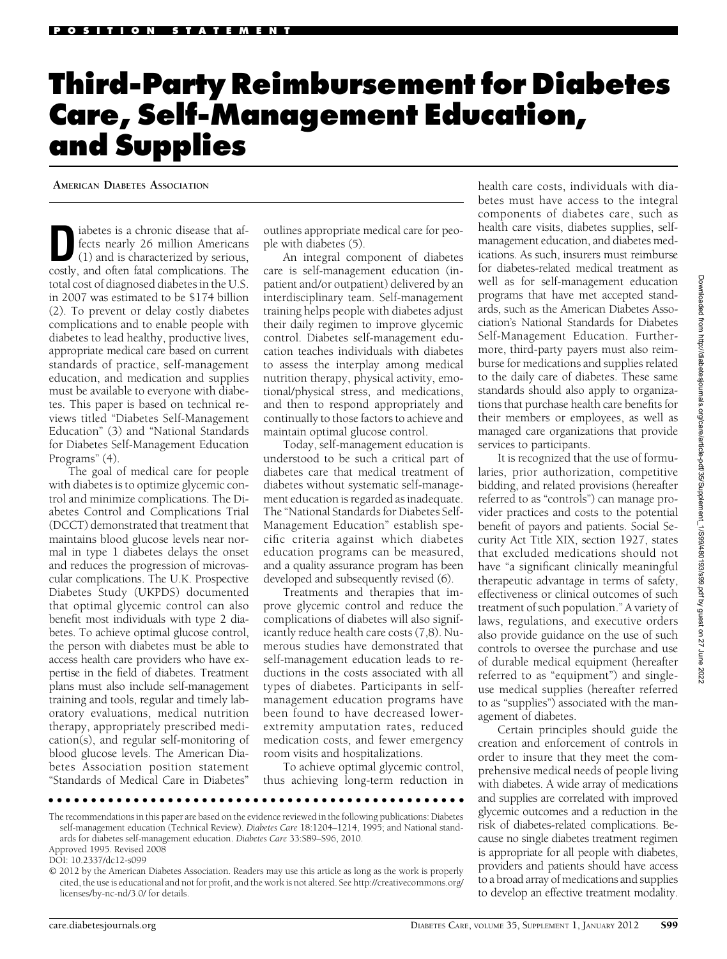## Third-Party Reimbursement for Diabetes Care, Self-Management Education, and Supplies

## AMERICAN DIABETES ASSOCIATION

iabetes is a chronic disease that af-<br>fects nearly 26 million Americans<br>(1) and is characterized by serious, fects nearly 26 million Americans (1) and is characterized by serious, costly, and often fatal complications. The total cost of diagnosed diabetes in the U.S. in 2007 was estimated to be \$174 billion (2). To prevent or delay costly diabetes complications and to enable people with diabetes to lead healthy, productive lives, appropriate medical care based on current standards of practice, self-management education, and medication and supplies must be available to everyone with diabetes. This paper is based on technical reviews titled "Diabetes Self-Management Education" (3) and "National Standards for Diabetes Self-Management Education Programs" (4).

The goal of medical care for people with diabetes is to optimize glycemic control and minimize complications. The Diabetes Control and Complications Trial (DCCT) demonstrated that treatment that maintains blood glucose levels near normal in type 1 diabetes delays the onset and reduces the progression of microvascular complications. The U.K. Prospective Diabetes Study (UKPDS) documented that optimal glycemic control can also benefit most individuals with type 2 diabetes. To achieve optimal glucose control, the person with diabetes must be able to access health care providers who have expertise in the field of diabetes. Treatment plans must also include self-management training and tools, regular and timely laboratory evaluations, medical nutrition therapy, appropriately prescribed medication(s), and regular self-monitoring of blood glucose levels. The American Diabetes Association position statement "Standards of Medical Care in Diabetes"

outlines appropriate medical care for people with diabetes (5).

An integral component of diabetes care is self-management education (inpatient and/or outpatient) delivered by an interdisciplinary team. Self-management training helps people with diabetes adjust their daily regimen to improve glycemic control. Diabetes self-management education teaches individuals with diabetes to assess the interplay among medical nutrition therapy, physical activity, emotional/physical stress, and medications, and then to respond appropriately and continually to those factors to achieve and maintain optimal glucose control.

Today, self-management education is understood to be such a critical part of diabetes care that medical treatment of diabetes without systematic self-management education is regarded as inadequate. The "National Standards for Diabetes Self-Management Education" establish specific criteria against which diabetes education programs can be measured, and a quality assurance program has been developed and subsequently revised (6).

Treatments and therapies that improve glycemic control and reduce the complications of diabetes will also significantly reduce health care costs (7,8). Numerous studies have demonstrated that self-management education leads to reductions in the costs associated with all types of diabetes. Participants in selfmanagement education programs have been found to have decreased lowerextremity amputation rates, reduced medication costs, and fewer emergency room visits and hospitalizations.

To achieve optimal glycemic control, thus achieving long-term reduction in

ccccccccccccccccccccccccccccccccccccccccccccccccc

The recommendations in this paper are based on the evidence reviewed in the following publications: Diabetes self-management education (Technical Review). Diabetes Care 18:1204–1214, 1995; and National standards for diabetes self-management education. Diabetes Care 33:S89–S96, 2010.

health care costs, individuals with diabetes must have access to the integral components of diabetes care, such as health care visits, diabetes supplies, selfmanagement education, and diabetes medications. As such, insurers must reimburse for diabetes-related medical treatment as well as for self-management education programs that have met accepted standards, such as the American Diabetes Association's National Standards for Diabetes Self-Management Education. Furthermore, third-party payers must also reimburse for medications and supplies related to the daily care of diabetes. These same standards should also apply to organizations that purchase health care benefits for their members or employees, as well as managed care organizations that provide services to participants.

It is recognized that the use of formularies, prior authorization, competitive bidding, and related provisions (hereafter referred to as "controls") can manage provider practices and costs to the potential benefit of payors and patients. Social Security Act Title XIX, section 1927, states that excluded medications should not have "a significant clinically meaningful therapeutic advantage in terms of safety, effectiveness or clinical outcomes of such treatment of such population." A variety of laws, regulations, and executive orders also provide guidance on the use of such controls to oversee the purchase and use of durable medical equipment (hereafter referred to as "equipment") and singleuse medical supplies (hereafter referred to as "supplies") associated with the management of diabetes.

Certain principles should guide the creation and enforcement of controls in order to insure that they meet the comprehensive medical needs of people living with diabetes. A wide array of medications and supplies are correlated with improved glycemic outcomes and a reduction in the risk of diabetes-related complications. Because no single diabetes treatment regimen is appropriate for all people with diabetes, providers and patients should have access to a broad array of medications and supplies to develop an effective treatment modality.

Approved 1995. Revised 2008

DOI: 10.2337/dc12-s099

<sup>© 2012</sup> by the American Diabetes Association. Readers may use this article as long as the work is properly cited, the use is educational and not for profit, and the work is not altered. See http://creativecommons.org/ licenses/by-nc-nd/3.0/ for details.